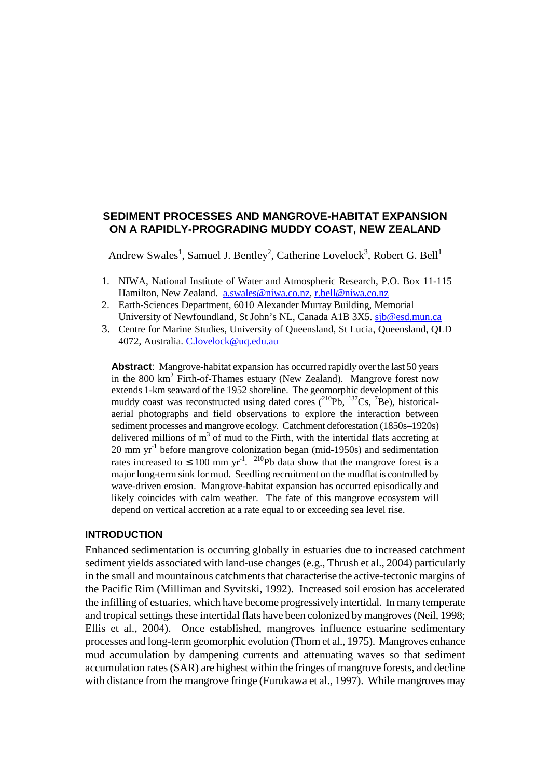# **SEDIMENT PROCESSES AND MANGROVE-HABITAT EXPANSION ON A RAPIDLY-PROGRADING MUDDY COAST, NEW ZEALAND**

Andrew Swales<sup>1</sup>, Samuel J. Bentley<sup>2</sup>, Catherine Lovelock<sup>3</sup>, Robert G. Bell<sup>1</sup>

- 1. NIWA, National Institute of Water and Atmospheric Research, P.O. Box 11-115 Hamilton, New Zealand. a.swales@niwa.co.nz, r.bell@niwa.co.nz
- 2. Earth-Sciences Department, 6010 Alexander Murray Building, Memorial University of Newfoundland, St John's NL, Canada A1B 3X5. sjb@esd.mun.ca
- 3. Centre for Marine Studies, University of Queensland, St Lucia, Queensland, QLD 4072, Australia. C.lovelock@uq.edu.au

**Abstract**: Mangrove-habitat expansion has occurred rapidly over the last 50 years in the 800 km<sup>2</sup> Firth-of-Thames estuary (New Zealand). Mangrove forest now extends 1-km seaward of the 1952 shoreline. The geomorphic development of this muddy coast was reconstructed using dated cores  $(^{210}Pb. ^{137}Cs. ^{7}Be)$ , historicalaerial photographs and field observations to explore the interaction between sediment processes and mangrove ecology. Catchment deforestation (1850s–1920s) delivered millions of  $m<sup>3</sup>$  of mud to the Firth, with the intertidal flats accreting at 20 mm yr-1 before mangrove colonization began (mid-1950s) and sedimentation rates increased to  $\leq 100$  mm yr<sup>-1</sup>. <sup>210</sup>Pb data show that the mangrove forest is a major long-term sink for mud. Seedling recruitment on the mudflat is controlled by wave-driven erosion. Mangrove-habitat expansion has occurred episodically and likely coincides with calm weather. The fate of this mangrove ecosystem will depend on vertical accretion at a rate equal to or exceeding sea level rise.

### **INTRODUCTION**

Enhanced sedimentation is occurring globally in estuaries due to increased catchment sediment yields associated with land-use changes (e.g., Thrush et al., 2004) particularly in the small and mountainous catchments that characterise the active-tectonic margins of the Pacific Rim (Milliman and Syvitski, 1992). Increased soil erosion has accelerated the infilling of estuaries, which have become progressively intertidal. In many temperate and tropical settings these intertidal flats have been colonized by mangroves (Neil, 1998; Ellis et al., 2004). Once established, mangroves influence estuarine sedimentary processes and long-term geomorphic evolution (Thom et al., 1975). Mangroves enhance mud accumulation by dampening currents and attenuating waves so that sediment accumulation rates (SAR) are highest within the fringes of mangrove forests, and decline with distance from the mangrove fringe (Furukawa et al., 1997). While mangroves may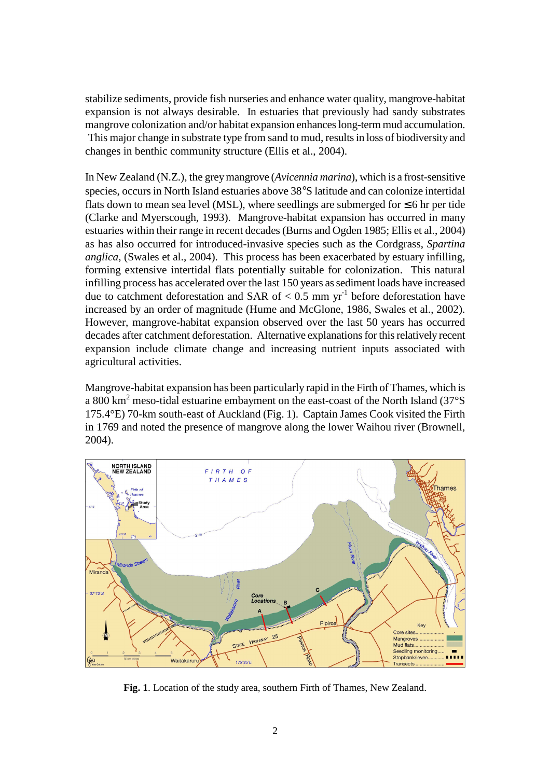stabilize sediments, provide fish nurseries and enhance water quality, mangrove-habitat expansion is not always desirable. In estuaries that previously had sandy substrates mangrove colonization and/or habitat expansion enhances long-term mud accumulation. This major change in substrate type from sand to mud, results in loss of biodiversity and changes in benthic community structure (Ellis et al., 2004).

In New Zealand (N.Z.), the grey mangrove (*Avicennia marina*), which is a frost-sensitive species, occurs in North Island estuaries above 38°S latitude and can colonize intertidal flats down to mean sea level (MSL), where seedlings are submerged for  $\leq 6$  hr per tide (Clarke and Myerscough, 1993). Mangrove-habitat expansion has occurred in many estuaries within their range in recent decades (Burns and Ogden 1985; Ellis et al., 2004) as has also occurred for introduced-invasive species such as the Cordgrass, *Spartina anglica*, (Swales et al., 2004). This process has been exacerbated by estuary infilling, forming extensive intertidal flats potentially suitable for colonization. This natural infilling process has accelerated over the last 150 years as sediment loads have increased due to catchment deforestation and SAR of  $< 0.5$  mm yr<sup>-1</sup> before deforestation have increased by an order of magnitude (Hume and McGlone, 1986, Swales et al., 2002). However, mangrove-habitat expansion observed over the last 50 years has occurred decades after catchment deforestation. Alternative explanations for this relatively recent expansion include climate change and increasing nutrient inputs associated with agricultural activities.

Mangrove-habitat expansion has been particularly rapid in the Firth of Thames, which is a 800 km<sup>2</sup> meso-tidal estuarine embayment on the east-coast of the North Island (37°S) 175.4°E) 70-km south-east of Auckland (Fig. 1). Captain James Cook visited the Firth in 1769 and noted the presence of mangrove along the lower Waihou river (Brownell, 2004).



**Fig. 1**. Location of the study area, southern Firth of Thames, New Zealand.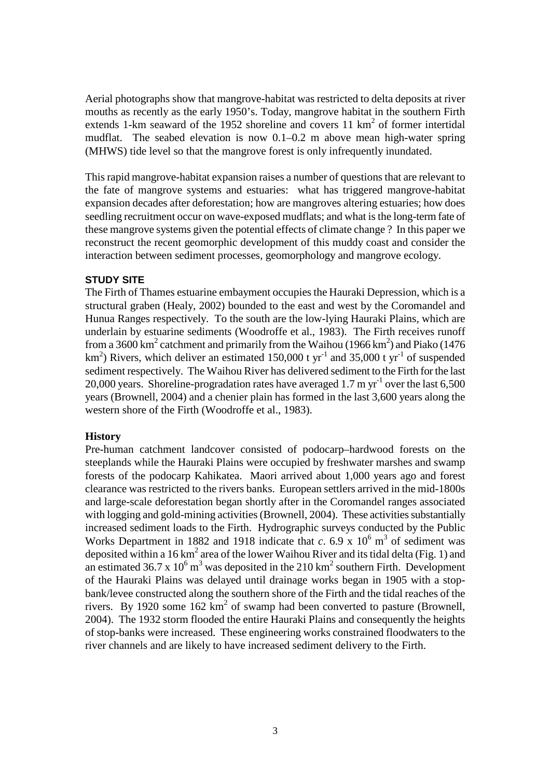Aerial photographs show that mangrove-habitat was restricted to delta deposits at river mouths as recently as the early 1950's. Today, mangrove habitat in the southern Firth extends 1-km seaward of the 1952 shoreline and covers 11  $km<sup>2</sup>$  of former intertidal mudflat. The seabed elevation is now 0.1–0.2 m above mean high-water spring (MHWS) tide level so that the mangrove forest is only infrequently inundated.

This rapid mangrove-habitat expansion raises a number of questions that are relevant to the fate of mangrove systems and estuaries: what has triggered mangrove-habitat expansion decades after deforestation; how are mangroves altering estuaries; how does seedling recruitment occur on wave-exposed mudflats; and what is the long-term fate of these mangrove systems given the potential effects of climate change ? In this paper we reconstruct the recent geomorphic development of this muddy coast and consider the interaction between sediment processes, geomorphology and mangrove ecology.

# **STUDY SITE**

The Firth of Thames estuarine embayment occupies the Hauraki Depression, which is a structural graben (Healy, 2002) bounded to the east and west by the Coromandel and Hunua Ranges respectively. To the south are the low-lying Hauraki Plains, which are underlain by estuarine sediments (Woodroffe et al., 1983). The Firth receives runoff from a 3600 km<sup>2</sup> catchment and primarily from the Waihou (1966 km<sup>2</sup>) and Piako (1476 km<sup>2</sup>) Rivers, which deliver an estimated 150,000 t yr<sup>-1</sup> and 35,000 t yr<sup>-1</sup> of suspended sediment respectively. The Waihou River has delivered sediment to the Firth for the last 20,000 years. Shoreline-progradation rates have averaged 1.7 m  $yr^{-1}$  over the last 6,500 years (Brownell, 2004) and a chenier plain has formed in the last 3,600 years along the western shore of the Firth (Woodroffe et al., 1983).

# **History**

Pre-human catchment landcover consisted of podocarp–hardwood forests on the steeplands while the Hauraki Plains were occupied by freshwater marshes and swamp forests of the podocarp Kahikatea. Maori arrived about 1,000 years ago and forest clearance was restricted to the rivers banks. European settlers arrived in the mid-1800s and large-scale deforestation began shortly after in the Coromandel ranges associated with logging and gold-mining activities (Brownell, 2004). These activities substantially increased sediment loads to the Firth. Hydrographic surveys conducted by the Public Works Department in 1882 and 1918 indicate that  $c$ . 6.9 x  $10^6$  m<sup>3</sup> of sediment was deposited within a 16 km<sup>2</sup> area of the lower Waihou River and its tidal delta (Fig. 1) and an estimated 36.7 x  $10^6$  m<sup>3</sup> was deposited in the 210 km<sup>2</sup> southern Firth. Development of the Hauraki Plains was delayed until drainage works began in 1905 with a stopbank/levee constructed along the southern shore of the Firth and the tidal reaches of the rivers. By 1920 some  $162 \text{ km}^2$  of swamp had been converted to pasture (Brownell, 2004). The 1932 storm flooded the entire Hauraki Plains and consequently the heights of stop-banks were increased. These engineering works constrained floodwaters to the river channels and are likely to have increased sediment delivery to the Firth.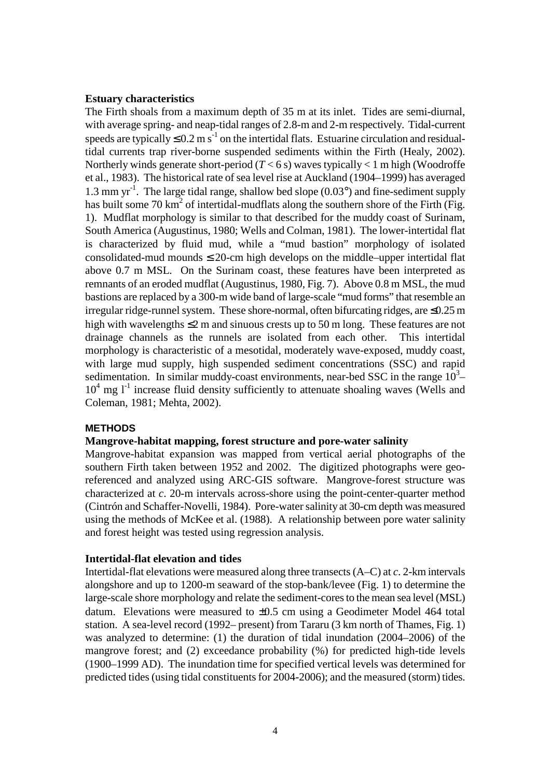### **Estuary characteristics**

The Firth shoals from a maximum depth of 35 m at its inlet. Tides are semi-diurnal, with average spring- and neap-tidal ranges of 2.8-m and 2-m respectively. Tidal-current speeds are typically  $\leq 0.2$  m s<sup>-1</sup> on the intertidal flats. Estuarine circulation and residualtidal currents trap river-borne suspended sediments within the Firth (Healy, 2002). Northerly winds generate short-period  $(T < 6 s)$  waves typically  $< 1$  m high (Woodroffe et al., 1983). The historical rate of sea level rise at Auckland (1904–1999) has averaged 1.3 mm  $yr^{-1}$ . The large tidal range, shallow bed slope (0.03 $^{\circ}$ ) and fine-sediment supply has built some 70 km<sup>2</sup> of intertidal-mudflats along the southern shore of the Firth (Fig. 1). Mudflat morphology is similar to that described for the muddy coast of Surinam, South America (Augustinus, 1980; Wells and Colman, 1981). The lower-intertidal flat is characterized by fluid mud, while a "mud bastion" morphology of isolated consolidated-mud mounds  $\leq$  20-cm high develops on the middle–upper intertidal flat above 0.7 m MSL. On the Surinam coast, these features have been interpreted as remnants of an eroded mudflat (Augustinus, 1980, Fig. 7). Above 0.8 m MSL, the mud bastions are replaced by a 300-m wide band of large-scale "mud forms" that resemble an irregular ridge-runnel system. These shore-normal, often bifurcating ridges, are ≤0.25 m high with wavelengths  $\leq 2$  m and sinuous crests up to 50 m long. These features are not drainage channels as the runnels are isolated from each other. This intertidal morphology is characteristic of a mesotidal, moderately wave-exposed, muddy coast, with large mud supply, high suspended sediment concentrations (SSC) and rapid sedimentation. In similar muddy-coast environments, near-bed SSC in the range  $10^3$ - $10<sup>4</sup>$  mg  $1<sup>-1</sup>$  increase fluid density sufficiently to attenuate shoaling waves (Wells and Coleman, 1981; Mehta, 2002).

## **METHODS**

# **Mangrove-habitat mapping, forest structure and pore-water salinity**

Mangrove-habitat expansion was mapped from vertical aerial photographs of the southern Firth taken between 1952 and 2002. The digitized photographs were georeferenced and analyzed using ARC-GIS software. Mangrove-forest structure was characterized at *c*. 20-m intervals across-shore using the point-center-quarter method (Cintrón and Schaffer-Novelli, 1984). Pore-water salinity at 30-cm depth was measured using the methods of McKee et al. (1988). A relationship between pore water salinity and forest height was tested using regression analysis.

#### **Intertidal-flat elevation and tides**

Intertidal-flat elevations were measured along three transects (A–C) at *c*. 2-km intervals alongshore and up to 1200-m seaward of the stop-bank/levee (Fig. 1) to determine the large-scale shore morphology and relate the sediment-cores to the mean sea level (MSL) datum. Elevations were measured to  $\pm 0.5$  cm using a Geodimeter Model 464 total station. A sea-level record (1992– present) from Tararu (3 km north of Thames, Fig. 1) was analyzed to determine: (1) the duration of tidal inundation (2004–2006) of the mangrove forest; and (2) exceedance probability (%) for predicted high-tide levels (1900–1999 AD). The inundation time for specified vertical levels was determined for predicted tides (using tidal constituents for 2004-2006); and the measured (storm) tides.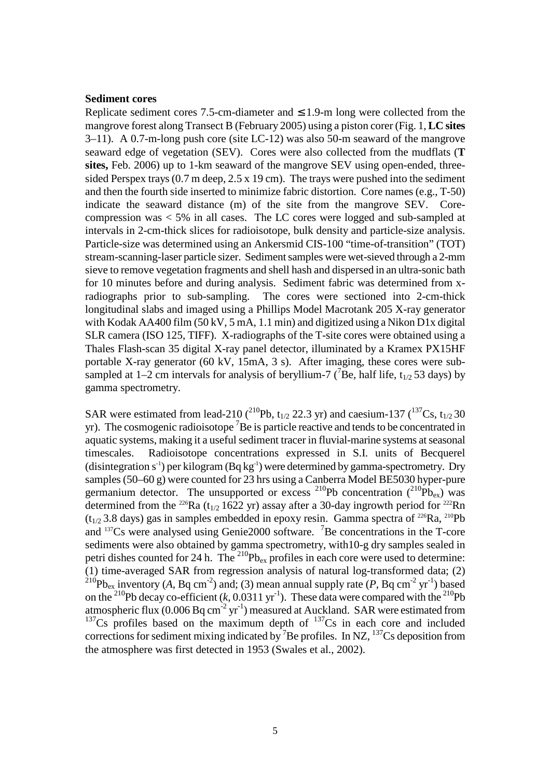#### **Sediment cores**

Replicate sediment cores 7.5-cm-diameter and  $\leq$  1.9-m long were collected from the mangrove forest along Transect B (February 2005) using a piston corer (Fig. 1, **LC sites** 3–11). A 0.7-m-long push core (site LC-12) was also 50-m seaward of the mangrove seaward edge of vegetation (SEV). Cores were also collected from the mudflats (**T sites,** Feb. 2006) up to 1-km seaward of the mangrove SEV using open-ended, threesided Perspex trays (0.7 m deep, 2.5 x 19 cm). The trays were pushed into the sediment and then the fourth side inserted to minimize fabric distortion. Core names (e.g., T-50) indicate the seaward distance (m) of the site from the mangrove SEV. Corecompression was < 5% in all cases. The LC cores were logged and sub-sampled at intervals in 2-cm-thick slices for radioisotope, bulk density and particle-size analysis. Particle-size was determined using an Ankersmid CIS-100 "time-of-transition" (TOT) stream-scanning-laser particle sizer. Sediment samples were wet-sieved through a 2-mm sieve to remove vegetation fragments and shell hash and dispersed in an ultra-sonic bath for 10 minutes before and during analysis. Sediment fabric was determined from xradiographs prior to sub-sampling. The cores were sectioned into 2-cm-thick longitudinal slabs and imaged using a Phillips Model Macrotank 205 X-ray generator with Kodak AA400 film (50 kV, 5 mA, 1.1 min) and digitized using a Nikon D1x digital SLR camera (ISO 125, TIFF). X-radiographs of the T-site cores were obtained using a Thales Flash-scan 35 digital X-ray panel detector, illuminated by a Kramex PX15HF portable X-ray generator (60 kV, 15mA, 3 s). After imaging, these cores were subsampled at 1–2 cm intervals for analysis of beryllium-7 ( $^7$ Be, half life, t<sub>1/2</sub> 53 days) by gamma spectrometry.

SAR were estimated from lead-210 (<sup>210</sup>Pb,  $t_{1/2}$  22.3 yr) and caesium-137 (<sup>137</sup>Cs,  $t_{1/2}$  30 yr). The cosmogenic radioisotope  ${}^{7}$ Be is particle reactive and tends to be concentrated in aquatic systems, making it a useful sediment tracer in fluvial-marine systems at seasonal timescales. Radioisotope concentrations expressed in S.I. units of Becquerel (disintegration  $s^{-1}$ ) per kilogram (Bq kg<sup>-1</sup>) were determined by gamma-spectrometry. Dry samples (50–60 g) were counted for 23 hrs using a Canberra Model BE5030 hyper-pure germanium detector. The unsupported or excess <sup>210</sup>Pb concentration  $(^{210}Pb_{ex})$  was determined from the <sup>226</sup>Ra (t<sub>1/2</sub> 1622 yr) assay after a 30-day ingrowth period for <sup>222</sup>Rn  $(t_{1/2}$  3.8 days) gas in samples embedded in epoxy resin. Gamma spectra of <sup>226</sup>Ra, <sup>210</sup>Pb and  $137Cs$  were analysed using Genie 2000 software. <sup>7</sup>Be concentrations in the T-core sediments were also obtained by gamma spectrometry, with10-g dry samples sealed in petri dishes counted for 24 h. The  $^{210}Pb_{ex}$  profiles in each core were used to determine: (1) time-averaged SAR from regression analysis of natural log-transformed data; (2) <sup>210</sup>Pb<sub>ex</sub> inventory (A, Bq cm<sup>-2</sup>) and; (3) mean annual supply rate (P, Bq cm<sup>-2</sup> yr<sup>-1</sup>) based on the <sup>210</sup>Pb decay co-efficient  $(k, 0.0311 \text{ yr}^{-1})$ . These data were compared with the <sup>210</sup>Pb atmospheric flux  $(0.006 \text{ Bq cm}^{-2} \text{ yr}^{-1})$  measured at Auckland. SAR were estimated from  $137Cs$  profiles based on the maximum depth of  $137Cs$  in each core and included corrections for sediment mixing indicated by  $^7$ Be profiles. In NZ,  $^{137}$ Cs deposition from the atmosphere was first detected in 1953 (Swales et al., 2002).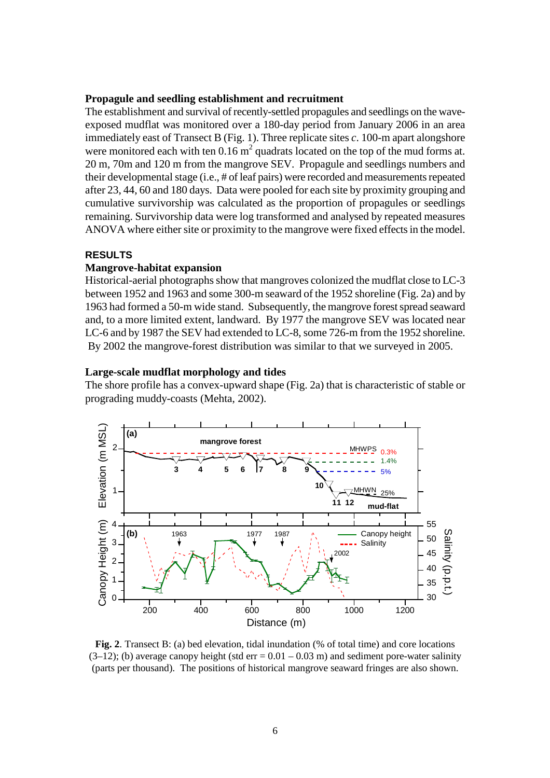### **Propagule and seedling establishment and recruitment**

The establishment and survival of recently-settled propagules and seedlings on the waveexposed mudflat was monitored over a 180-day period from January 2006 in an area immediately east of Transect B (Fig. 1). Three replicate sites *c*. 100-m apart alongshore were monitored each with ten  $0.16 \text{ m}^2$  quadrats located on the top of the mud forms at. 20 m, 70m and 120 m from the mangrove SEV. Propagule and seedlings numbers and their developmental stage (i.e., # of leaf pairs) were recorded and measurements repeated after 23, 44, 60 and 180 days. Data were pooled for each site by proximity grouping and cumulative survivorship was calculated as the proportion of propagules or seedlings remaining. Survivorship data were log transformed and analysed by repeated measures ANOVA where either site or proximity to the mangrove were fixed effects in the model.

### **RESULTS**

#### **Mangrove-habitat expansion**

Historical-aerial photographs show that mangroves colonized the mudflat close to LC-3 between 1952 and 1963 and some 300-m seaward of the 1952 shoreline (Fig. 2a) and by 1963 had formed a 50-m wide stand. Subsequently, the mangrove forest spread seaward and, to a more limited extent, landward. By 1977 the mangrove SEV was located near LC-6 and by 1987 the SEV had extended to LC-8, some 726-m from the 1952 shoreline. By 2002 the mangrove-forest distribution was similar to that we surveyed in 2005.

#### **Large-scale mudflat morphology and tides**

The shore profile has a convex-upward shape (Fig. 2a) that is characteristic of stable or prograding muddy-coasts (Mehta, 2002).



**Fig. 2**. Transect B: (a) bed elevation, tidal inundation (% of total time) and core locations  $(3-12)$ ; (b) average canopy height (std err = 0.01 – 0.03 m) and sediment pore-water salinity (parts per thousand). The positions of historical mangrove seaward fringes are also shown.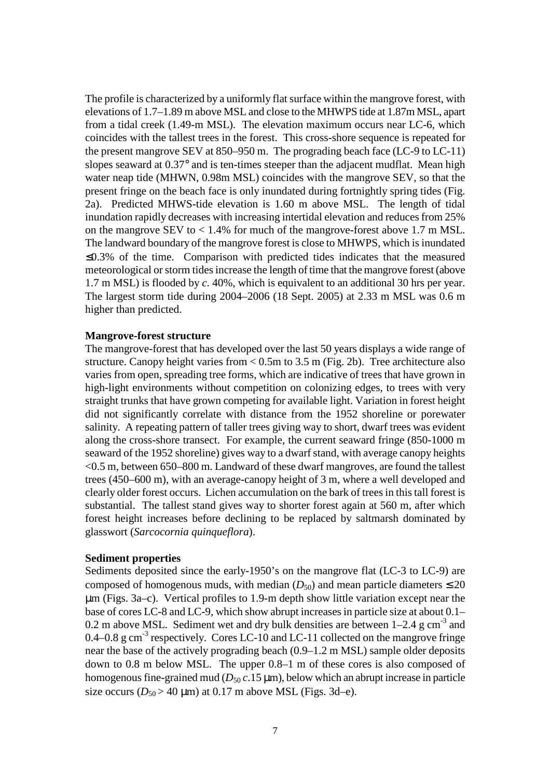The profile is characterized by a uniformly flat surface within the mangrove forest, with elevations of 1.7–1.89 m above MSL and close to the MHWPS tide at 1.87m MSL, apart from a tidal creek (1.49-m MSL). The elevation maximum occurs near LC-6, which coincides with the tallest trees in the forest. This cross-shore sequence is repeated for the present mangrove SEV at 850–950 m. The prograding beach face (LC-9 to LC-11) slopes seaward at 0.37° and is ten-times steeper than the adjacent mudflat. Mean high water neap tide (MHWN, 0.98m MSL) coincides with the mangrove SEV, so that the present fringe on the beach face is only inundated during fortnightly spring tides (Fig. 2a). Predicted MHWS-tide elevation is 1.60 m above MSL. The length of tidal inundation rapidly decreases with increasing intertidal elevation and reduces from 25% on the mangrove SEV to  $< 1.4\%$  for much of the mangrove-forest above 1.7 m MSL. The landward boundary of the mangrove forest is close to MHWPS, which is inundated ≤0.3% of the time. Comparison with predicted tides indicates that the measured meteorological or storm tides increase the length of time that the mangrove forest (above 1.7 m MSL) is flooded by *c*. 40%, which is equivalent to an additional 30 hrs per year. The largest storm tide during 2004–2006 (18 Sept. 2005) at 2.33 m MSL was 0.6 m higher than predicted.

# **Mangrove-forest structure**

The mangrove-forest that has developed over the last 50 years displays a wide range of structure. Canopy height varies from < 0.5m to 3.5 m (Fig. 2b). Tree architecture also varies from open, spreading tree forms, which are indicative of trees that have grown in high-light environments without competition on colonizing edges, to trees with very straight trunks that have grown competing for available light. Variation in forest height did not significantly correlate with distance from the 1952 shoreline or porewater salinity. A repeating pattern of taller trees giving way to short, dwarf trees was evident along the cross-shore transect. For example, the current seaward fringe (850-1000 m seaward of the 1952 shoreline) gives way to a dwarf stand, with average canopy heights  $<$  0.5 m, between 650–800 m. Landward of these dwarf mangroves, are found the tallest trees (450–600 m), with an average-canopy height of 3 m, where a well developed and clearly older forest occurs. Lichen accumulation on the bark of trees in this tall forest is substantial. The tallest stand gives way to shorter forest again at 560 m, after which forest height increases before declining to be replaced by saltmarsh dominated by glasswort (*Sarcocornia quinqueflora*).

## **Sediment properties**

Sediments deposited since the early-1950's on the mangrove flat (LC-3 to LC-9) are composed of homogenous muds, with median  $(D_{50})$  and mean particle diameters  $\leq 20$ µm (Figs. 3a–c). Vertical profiles to 1.9-m depth show little variation except near the base of cores LC-8 and LC-9, which show abrupt increases in particle size at about 0.1– 0.2 m above MSL. Sediment wet and dry bulk densities are between  $1-2.4$  g cm<sup>-3</sup> and 0.4–0.8 g cm<sup>-3</sup> respectively. Cores LC-10 and LC-11 collected on the mangrove fringe near the base of the actively prograding beach (0.9–1.2 m MSL) sample older deposits down to 0.8 m below MSL. The upper 0.8–1 m of these cores is also composed of homogenous fine-grained mud ( $D_{50}$   $c$ .15  $\mu$ m), below which an abrupt increase in particle size occurs  $(D_{50} > 40 \text{ }\mu\text{m})$  at 0.17 m above MSL (Figs. 3d–e).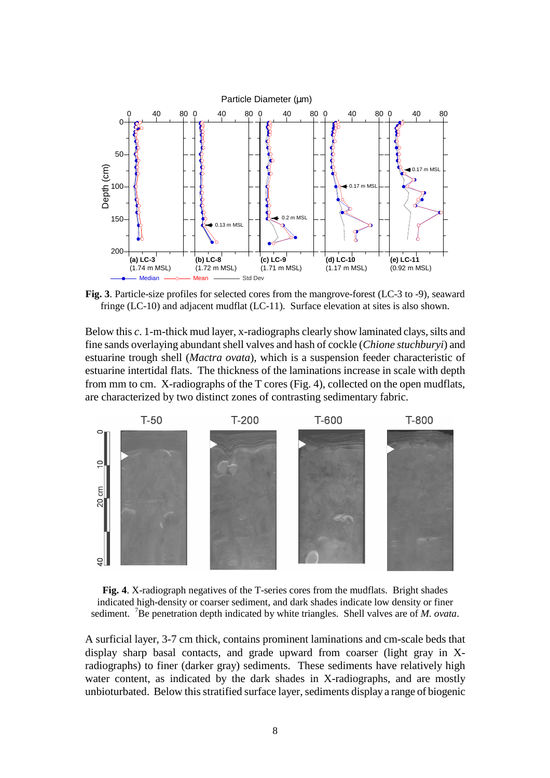

**Fig. 3**. Particle-size profiles for selected cores from the mangrove-forest (LC-3 to -9), seaward fringe (LC-10) and adjacent mudflat (LC-11). Surface elevation at sites is also shown.

Below this *c*. 1-m-thick mud layer, x-radiographs clearly show laminated clays, silts and fine sands overlaying abundant shell valves and hash of cockle (*Chione stuchburyi*) and estuarine trough shell (*Mactra ovata*), which is a suspension feeder characteristic of estuarine intertidal flats. The thickness of the laminations increase in scale with depth from mm to cm. X-radiographs of the T cores (Fig. 4), collected on the open mudflats, are characterized by two distinct zones of contrasting sedimentary fabric.



**Fig. 4**. X-radiograph negatives of the T-series cores from the mudflats. Bright shades indicated high-density or coarser sediment, and dark shades indicate low density or finer sediment. <sup>7</sup>Be penetration depth indicated by white triangles. Shell valves are of *M. ovata*.

A surficial layer, 3-7 cm thick, contains prominent laminations and cm-scale beds that display sharp basal contacts, and grade upward from coarser (light gray in Xradiographs) to finer (darker gray) sediments. These sediments have relatively high water content, as indicated by the dark shades in X-radiographs, and are mostly unbioturbated. Below this stratified surface layer, sediments display a range of biogenic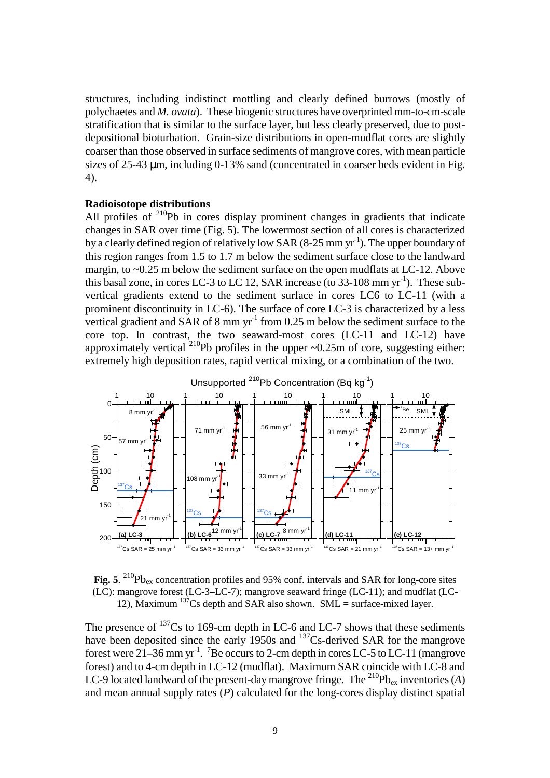structures, including indistinct mottling and clearly defined burrows (mostly of polychaetes and *M. ovata*). These biogenic structures have overprinted mm-to-cm-scale stratification that is similar to the surface layer, but less clearly preserved, due to postdepositional bioturbation. Grain-size distributions in open-mudflat cores are slightly coarser than those observed in surface sediments of mangrove cores, with mean particle sizes of 25-43 µm, including 0-13% sand (concentrated in coarser beds evident in Fig. 4).

# **Radioisotope distributions**

All profiles of  $210$ Pb in cores display prominent changes in gradients that indicate changes in SAR over time (Fig. 5). The lowermost section of all cores is characterized by a clearly defined region of relatively low SAR  $(8-25 \text{ mm yr}^{-1})$ . The upper boundary of this region ranges from 1.5 to 1.7 m below the sediment surface close to the landward margin, to  $\sim 0.25$  m below the sediment surface on the open mudflats at LC-12. Above this basal zone, in cores LC-3 to LC 12, SAR increase (to  $33\n-108$  mm yr<sup>-1</sup>). These subvertical gradients extend to the sediment surface in cores LC6 to LC-11 (with a prominent discontinuity in LC-6). The surface of core LC-3 is characterized by a less vertical gradient and SAR of 8 mm  $yr^{-1}$  from 0.25 m below the sediment surface to the core top. In contrast, the two seaward-most cores (LC-11 and LC-12) have approximately vertical <sup>210</sup>Pb profiles in the upper  $\sim 0.25$ m of core, suggesting either: extremely high deposition rates, rapid vertical mixing, or a combination of the two.



Fig. 5. <sup>210</sup>Pb<sub>ex</sub> concentration profiles and 95% conf. intervals and SAR for long-core sites (LC): mangrove forest (LC-3–LC-7); mangrove seaward fringe (LC-11); and mudflat (LC-12), Maximum  $137$ Cs depth and SAR also shown. SML = surface-mixed layer.

The presence of  $137$ Cs to 169-cm depth in LC-6 and LC-7 shows that these sediments have been deposited since the early 1950s and  $137$ Cs-derived SAR for the mangrove forest were 21–36 mm yr<sup>-1</sup>. <sup>7</sup>Be occurs to 2-cm depth in cores LC-5 to LC-11 (mangrove forest) and to 4-cm depth in LC-12 (mudflat). Maximum SAR coincide with LC-8 and LC-9 located landward of the present-day mangrove fringe. The <sup>210</sup>Pb<sub>ex</sub> inventories (*A*) and mean annual supply rates (*P*) calculated for the long-cores display distinct spatial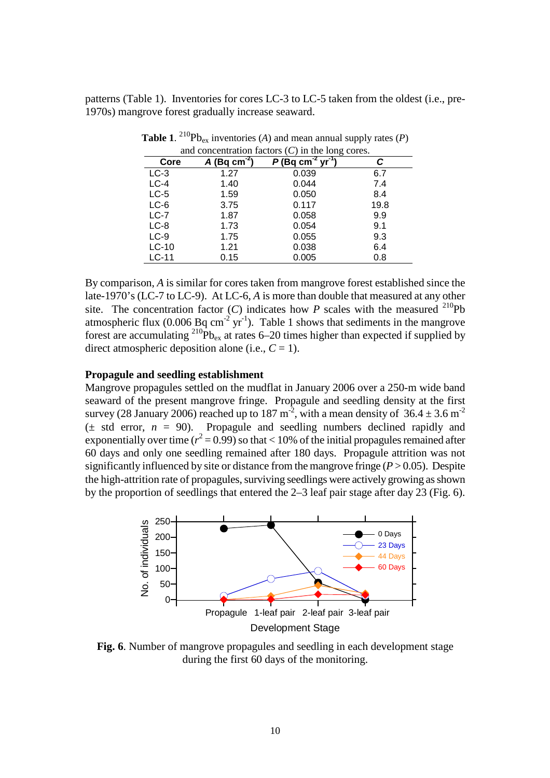patterns (Table 1). Inventories for cores LC-3 to LC-5 taken from the oldest (i.e., pre-1970s) mangrove forest gradually increase seaward.

| Core    | $\overline{A(Bq \text{ cm}^2)}$ | $(Bq cm^{-2} yr^{-1})$ | С    |
|---------|---------------------------------|------------------------|------|
| $LC-3$  | 1.27                            | 0.039                  | 6.7  |
| $LC-4$  | 1.40                            | 0.044                  | 7.4  |
| $LC-5$  | 1.59                            | 0.050                  | 8.4  |
| $LC-6$  | 3.75                            | 0.117                  | 19.8 |
| $LC-7$  | 1.87                            | 0.058                  | 9.9  |
| $LC-8$  | 1.73                            | 0.054                  | 9.1  |
| $LC-9$  | 1.75                            | 0.055                  | 9.3  |
| $LC-10$ | 1.21                            | 0.038                  | 6.4  |
| $LC-11$ | 0.15                            | 0.005                  | 0.8  |

**Table 1.** <sup>210</sup> $\text{Pb}_{\text{ex}}$  inventories (*A*) and mean annual supply rates (*P*) and concentration factors (*C*) in the long cores.

By comparison, *A* is similar for cores taken from mangrove forest established since the late-1970's (LC-7 to LC-9). At LC-6, *A* is more than double that measured at any other site. The concentration factor  $(C)$  indicates how  $P$  scales with the measured <sup>210</sup>Pb atmospheric flux (0.006 Bq cm<sup>-2</sup> yr<sup>-1</sup>). Table 1 shows that sediments in the mangrove forest are accumulating  $^{210}Pb_{ex}$  at rates 6–20 times higher than expected if supplied by direct atmospheric deposition alone (i.e.,  $C = 1$ ).

# **Propagule and seedling establishment**

Mangrove propagules settled on the mudflat in January 2006 over a 250-m wide band seaward of the present mangrove fringe. Propagule and seedling density at the first survey (28 January 2006) reached up to 187 m<sup>-2</sup>, with a mean density of  $36.4 \pm 3.6$  m<sup>-2</sup>  $(\pm \text{ std error}, n = 90)$ . Propagule and seedling numbers declined rapidly and exponentially over time ( $r^2 = 0.99$ ) so that < 10% of the initial propagules remained after 60 days and only one seedling remained after 180 days. Propagule attrition was not significantly influenced by site or distance from the mangrove fringe  $(P > 0.05)$ . Despite the high-attrition rate of propagules, surviving seedlings were actively growing as shown by the proportion of seedlings that entered the 2–3 leaf pair stage after day 23 (Fig. 6).



**Fig. 6**. Number of mangrove propagules and seedling in each development stage during the first 60 days of the monitoring.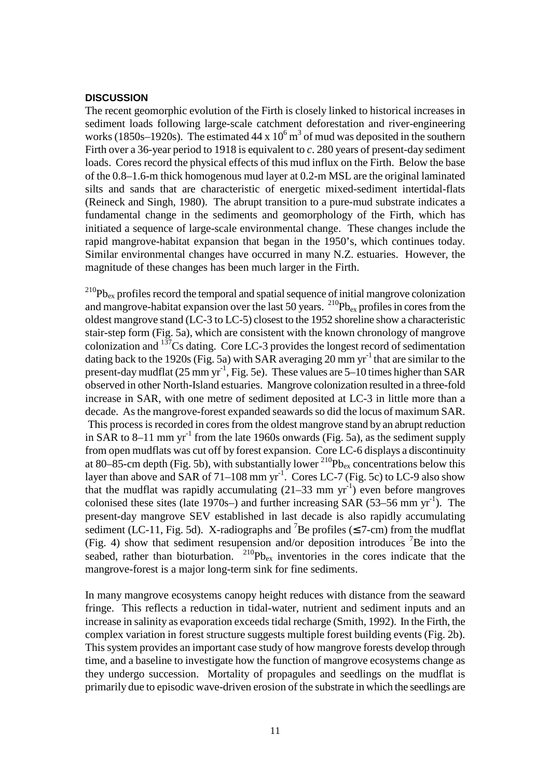# **DISCUSSION**

The recent geomorphic evolution of the Firth is closely linked to historical increases in sediment loads following large-scale catchment deforestation and river-engineering works (1850s–1920s). The estimated 44 x  $10^6$  m<sup>3</sup> of mud was deposited in the southern Firth over a 36-year period to 1918 is equivalent to *c*. 280 years of present-day sediment loads. Cores record the physical effects of this mud influx on the Firth. Below the base of the 0.8–1.6-m thick homogenous mud layer at 0.2-m MSL are the original laminated silts and sands that are characteristic of energetic mixed-sediment intertidal-flats (Reineck and Singh, 1980). The abrupt transition to a pure-mud substrate indicates a fundamental change in the sediments and geomorphology of the Firth, which has initiated a sequence of large-scale environmental change. These changes include the rapid mangrove-habitat expansion that began in the 1950's, which continues today. Similar environmental changes have occurred in many N.Z. estuaries. However, the magnitude of these changes has been much larger in the Firth.

 $^{210}Pb_{ex}$  profiles record the temporal and spatial sequence of initial mangrove colonization and mangrove-habitat expansion over the last 50 years. <sup>210</sup>Pb<sub>ex</sub> profiles in cores from the oldest mangrove stand (LC-3 to LC-5) closest to the 1952 shoreline show a characteristic stair-step form (Fig. 5a), which are consistent with the known chronology of mangrove colonization and <sup>137</sup>Cs dating. Core LC-3 provides the longest record of sedimentation dating back to the 1920s (Fig. 5a) with SAR averaging 20 mm  $yr^{-1}$  that are similar to the present-day mudflat  $(25 \text{ mm yr}^1, \text{Fig. 5e})$ . These values are  $5-10$  times higher than SAR observed in other North-Island estuaries. Mangrove colonization resulted in a three-fold increase in SAR, with one metre of sediment deposited at LC-3 in little more than a decade. As the mangrove-forest expanded seawards so did the locus of maximum SAR. This process is recorded in cores from the oldest mangrove stand by an abrupt reduction in SAR to 8–11 mm  $yr^{-1}$  from the late 1960s onwards (Fig. 5a), as the sediment supply from open mudflats was cut off by forest expansion. Core LC-6 displays a discontinuity at 80–85-cm depth (Fig. 5b), with substantially lower  $^{210}Pb_{ex}$  concentrations below this layer than above and SAR of  $71-108$  mm yr<sup>-1</sup>. Cores LC-7 (Fig. 5c) to LC-9 also show that the mudflat was rapidly accumulating  $(21-33 \text{ mm yr}^{-1})$  even before mangroves colonised these sites (late 1970s–) and further increasing SAR (53–56 mm  $yr^{-1}$ ). The present-day mangrove SEV established in last decade is also rapidly accumulating sediment (LC-11, Fig. 5d). X-radiographs and <sup>7</sup>Be profiles ( $\leq$  7-cm) from the mudflat (Fig. 4) show that sediment resupension and/or deposition introduces <sup>7</sup>Be into the seabed, rather than bioturbation.  $^{210}Pb_{ex}$  inventories in the cores indicate that the mangrove-forest is a major long-term sink for fine sediments.

In many mangrove ecosystems canopy height reduces with distance from the seaward fringe. This reflects a reduction in tidal-water, nutrient and sediment inputs and an increase in salinity as evaporation exceeds tidal recharge (Smith, 1992). In the Firth, the complex variation in forest structure suggests multiple forest building events (Fig. 2b). This system provides an important case study of how mangrove forests develop through time, and a baseline to investigate how the function of mangrove ecosystems change as they undergo succession. Mortality of propagules and seedlings on the mudflat is primarily due to episodic wave-driven erosion of the substrate in which the seedlings are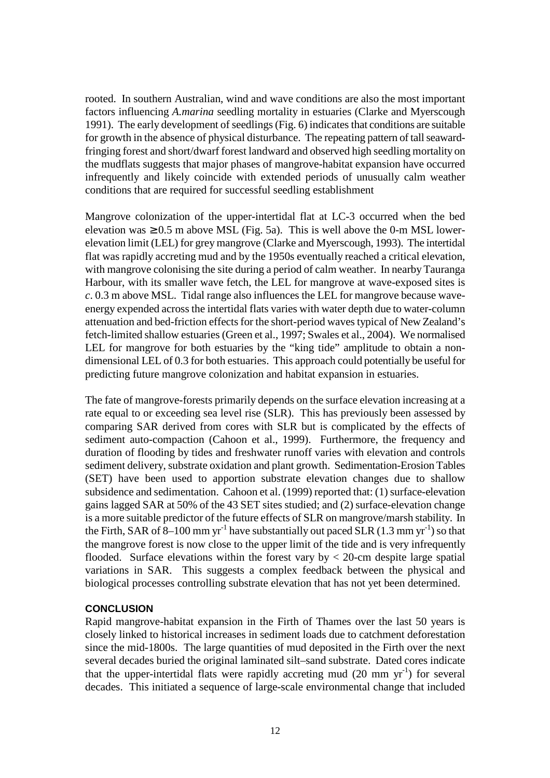rooted. In southern Australian, wind and wave conditions are also the most important factors influencing *A.marina* seedling mortality in estuaries (Clarke and Myerscough 1991). The early development of seedlings (Fig. 6) indicates that conditions are suitable for growth in the absence of physical disturbance. The repeating pattern of tall seawardfringing forest and short/dwarf forest landward and observed high seedling mortality on the mudflats suggests that major phases of mangrove-habitat expansion have occurred infrequently and likely coincide with extended periods of unusually calm weather conditions that are required for successful seedling establishment

Mangrove colonization of the upper-intertidal flat at LC-3 occurred when the bed elevation was  $\geq 0.5$  m above MSL (Fig. 5a). This is well above the 0-m MSL lowerelevation limit (LEL) for grey mangrove (Clarke and Myerscough, 1993). The intertidal flat was rapidly accreting mud and by the 1950s eventually reached a critical elevation, with mangrove colonising the site during a period of calm weather. In nearby Tauranga Harbour, with its smaller wave fetch, the LEL for mangrove at wave-exposed sites is *c*. 0.3 m above MSL. Tidal range also influences the LEL for mangrove because waveenergy expended across the intertidal flats varies with water depth due to water-column attenuation and bed-friction effects for the short-period waves typical of New Zealand's fetch-limited shallow estuaries (Green et al., 1997; Swales et al., 2004). We normalised LEL for mangrove for both estuaries by the "king tide" amplitude to obtain a nondimensional LEL of 0.3 for both estuaries. This approach could potentially be useful for predicting future mangrove colonization and habitat expansion in estuaries.

The fate of mangrove-forests primarily depends on the surface elevation increasing at a rate equal to or exceeding sea level rise (SLR). This has previously been assessed by comparing SAR derived from cores with SLR but is complicated by the effects of sediment auto-compaction (Cahoon et al., 1999). Furthermore, the frequency and duration of flooding by tides and freshwater runoff varies with elevation and controls sediment delivery, substrate oxidation and plant growth. Sedimentation-Erosion Tables (SET) have been used to apportion substrate elevation changes due to shallow subsidence and sedimentation. Cahoon et al. (1999) reported that: (1) surface-elevation gains lagged SAR at 50% of the 43 SET sites studied; and (2) surface-elevation change is a more suitable predictor of the future effects of SLR on mangrove/marsh stability. In the Firth, SAR of  $\overline{8}$ –100 mm yr<sup>-1</sup> have substantially out paced SLR (1.3 mm yr<sup>-1</sup>) so that the mangrove forest is now close to the upper limit of the tide and is very infrequently flooded. Surface elevations within the forest vary by  $<$  20-cm despite large spatial variations in SAR. This suggests a complex feedback between the physical and biological processes controlling substrate elevation that has not yet been determined.

# **CONCLUSION**

Rapid mangrove-habitat expansion in the Firth of Thames over the last 50 years is closely linked to historical increases in sediment loads due to catchment deforestation since the mid-1800s. The large quantities of mud deposited in the Firth over the next several decades buried the original laminated silt–sand substrate. Dated cores indicate that the upper-intertidal flats were rapidly accreting mud  $(20 \text{ mm yr}^{-1})$  for several decades. This initiated a sequence of large-scale environmental change that included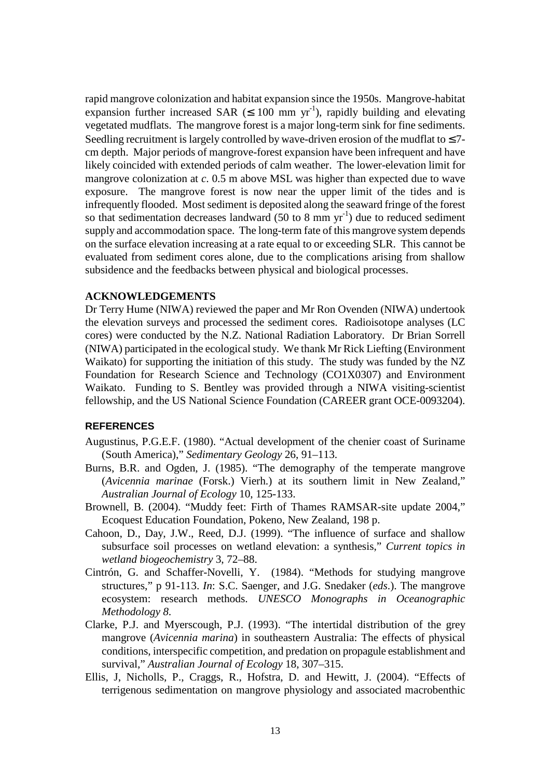rapid mangrove colonization and habitat expansion since the 1950s. Mangrove-habitat expansion further increased SAR ( $\leq$  100 mm yr<sup>-1</sup>), rapidly building and elevating vegetated mudflats. The mangrove forest is a major long-term sink for fine sediments. Seedling recruitment is largely controlled by wave-driven erosion of the mudflat to  $\leq 7$ cm depth. Major periods of mangrove-forest expansion have been infrequent and have likely coincided with extended periods of calm weather. The lower-elevation limit for mangrove colonization at *c*. 0.5 m above MSL was higher than expected due to wave exposure. The mangrove forest is now near the upper limit of the tides and is infrequently flooded. Most sediment is deposited along the seaward fringe of the forest so that sedimentation decreases landward (50 to 8 mm  $yr^{-1}$ ) due to reduced sediment supply and accommodation space. The long-term fate of this mangrove system depends on the surface elevation increasing at a rate equal to or exceeding SLR. This cannot be evaluated from sediment cores alone, due to the complications arising from shallow subsidence and the feedbacks between physical and biological processes.

## **ACKNOWLEDGEMENTS**

Dr Terry Hume (NIWA) reviewed the paper and Mr Ron Ovenden (NIWA) undertook the elevation surveys and processed the sediment cores. Radioisotope analyses (LC cores) were conducted by the N.Z. National Radiation Laboratory. Dr Brian Sorrell (NIWA) participated in the ecological study. We thank Mr Rick Liefting (Environment Waikato) for supporting the initiation of this study. The study was funded by the NZ Foundation for Research Science and Technology (CO1X0307) and Environment Waikato. Funding to S. Bentley was provided through a NIWA visiting-scientist fellowship, and the US National Science Foundation (CAREER grant OCE-0093204).

# **REFERENCES**

- Augustinus, P.G.E.F. (1980). "Actual development of the chenier coast of Suriname (South America)," *Sedimentary Geology* 26, 91–113.
- Burns, B.R. and Ogden, J. (1985). "The demography of the temperate mangrove (*Avicennia marinae* (Forsk.) Vierh.) at its southern limit in New Zealand," *Australian Journal of Ecology* 10, 125-133.
- Brownell, B. (2004). "Muddy feet: Firth of Thames RAMSAR-site update 2004," Ecoquest Education Foundation, Pokeno, New Zealand, 198 p.
- Cahoon, D., Day, J.W., Reed, D.J. (1999). "The influence of surface and shallow subsurface soil processes on wetland elevation: a synthesis," *Current topics in wetland biogeochemistry* 3, 72–88.
- Cintrón, G. and Schaffer-Novelli, Y. (1984). "Methods for studying mangrove structures," p 91-113. *In*: S.C. Saenger, and J.G. Snedaker (*eds*.). The mangrove ecosystem: research methods. *UNESCO Monographs in Oceanographic Methodology 8*.
- Clarke, P.J. and Myerscough, P.J. (1993). "The intertidal distribution of the grey mangrove (*Avicennia marina*) in southeastern Australia: The effects of physical conditions, interspecific competition, and predation on propagule establishment and survival," *Australian Journal of Ecology* 18, 307–315.
- Ellis, J, Nicholls, P., Craggs, R., Hofstra, D. and Hewitt, J. (2004). "Effects of terrigenous sedimentation on mangrove physiology and associated macrobenthic